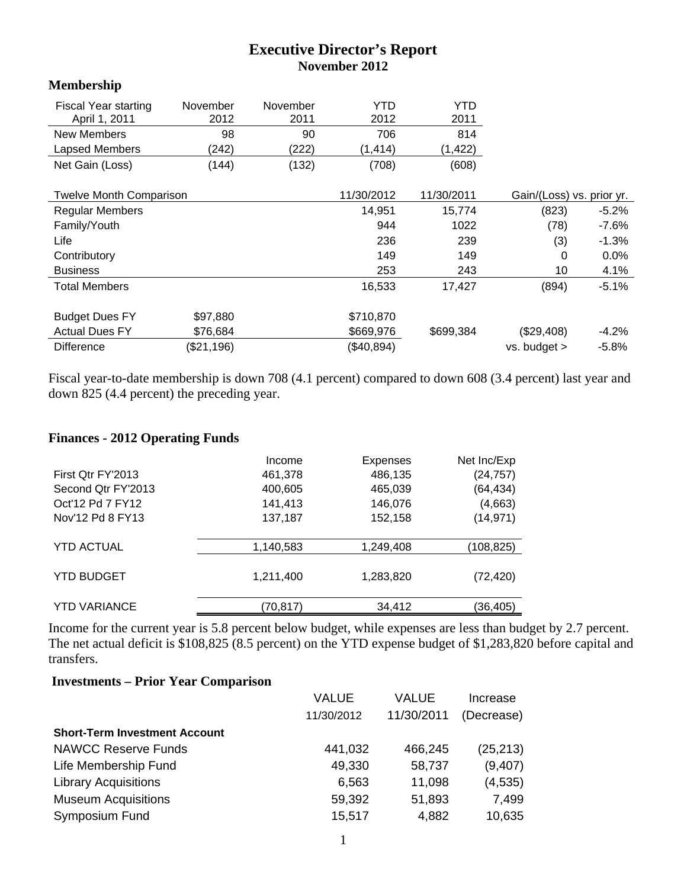## **Executive Director's Report November 2012**

## **Membership**

| <b>Fiscal Year starting</b><br>April 1, 2011 | November<br>2012 | November<br>2011 | <b>YTD</b><br>2012 | YTD<br>2011 |                           |          |
|----------------------------------------------|------------------|------------------|--------------------|-------------|---------------------------|----------|
| <b>New Members</b>                           | 98               | 90               | 706                | 814         |                           |          |
| Lapsed Members                               | (242)            | (222)            | (1, 414)           | (1, 422)    |                           |          |
| Net Gain (Loss)                              | (144)            | (132)            | (708)              | (608)       |                           |          |
|                                              |                  |                  |                    |             |                           |          |
| <b>Twelve Month Comparison</b>               |                  |                  | 11/30/2012         | 11/30/2011  | Gain/(Loss) vs. prior yr. |          |
| <b>Regular Members</b>                       |                  |                  | 14,951             | 15,774      | (823)                     | $-5.2%$  |
| Family/Youth                                 |                  |                  | 944                | 1022        | (78)                      | $-7.6\%$ |
| Life                                         |                  |                  | 236                | 239         | (3)                       | $-1.3%$  |
| Contributory                                 |                  |                  | 149                | 149         | 0                         | 0.0%     |
| <b>Business</b>                              |                  |                  | 253                | 243         | 10                        | 4.1%     |
| <b>Total Members</b>                         |                  |                  | 16,533             | 17,427      | (894)                     | $-5.1%$  |
|                                              |                  |                  |                    |             |                           |          |
| <b>Budget Dues FY</b>                        | \$97,880         |                  | \$710,870          |             |                           |          |
| <b>Actual Dues FY</b>                        | \$76,684         |                  | \$669,976          | \$699,384   | (\$29,408)                | $-4.2%$  |
| <b>Difference</b>                            | (\$21,196)       |                  | (\$40,894)         |             | vs. budget >              | $-5.8%$  |

Fiscal year-to-date membership is down 708 (4.1 percent) compared to down 608 (3.4 percent) last year and down 825 (4.4 percent) the preceding year.

## **Finances - 2012 Operating Funds**

|                     | Income    | <b>Expenses</b> | Net Inc/Exp |
|---------------------|-----------|-----------------|-------------|
| First Qtr FY'2013   | 461,378   | 486,135         | (24, 757)   |
| Second Qtr FY'2013  | 400,605   | 465,039         | (64, 434)   |
| Oct'12 Pd 7 FY12    | 141,413   | 146,076         | (4,663)     |
| Nov'12 Pd 8 FY13    | 137,187   | 152,158         | (14, 971)   |
| <b>YTD ACTUAL</b>   | 1,140,583 | 1,249,408       | (108,825)   |
|                     |           |                 |             |
| <b>YTD BUDGET</b>   | 1,211,400 | 1,283,820       | (72, 420)   |
| <b>YTD VARIANCE</b> | (70,817)  | 34,412          | (36,405)    |

Income for the current year is 5.8 percent below budget, while expenses are less than budget by 2.7 percent. The net actual deficit is \$108,825 (8.5 percent) on the YTD expense budget of \$1,283,820 before capital and transfers.

## **Investments – Prior Year Comparison**

|                                      | VALUE      | <b>VALUE</b> | Increase   |
|--------------------------------------|------------|--------------|------------|
|                                      | 11/30/2012 | 11/30/2011   | (Decrease) |
| <b>Short-Term Investment Account</b> |            |              |            |
| <b>NAWCC Reserve Funds</b>           | 441,032    | 466,245      | (25, 213)  |
| Life Membership Fund                 | 49,330     | 58,737       | (9,407)    |
| <b>Library Acquisitions</b>          | 6,563      | 11,098       | (4,535)    |
| <b>Museum Acquisitions</b>           | 59,392     | 51,893       | 7,499      |
| <b>Symposium Fund</b>                | 15,517     | 4,882        | 10,635     |